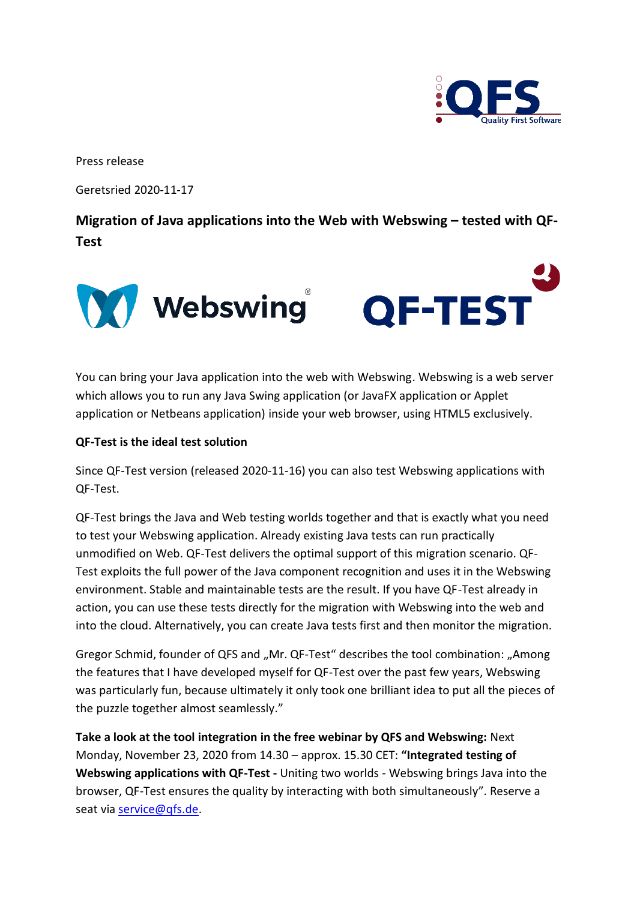

Press release

Geretsried 2020-11-17

**Migration of Java applications into the Web with Webswing – tested with QF-Test**



You can bring your Java application into the web with Webswing. Webswing is a web server which allows you to run any Java Swing application (or JavaFX application or Applet application or Netbeans application) inside your web browser, using HTML5 exclusively.

## **QF-Test is the ideal test solution**

Since QF-Test version (released 2020-11-16) you can also test Webswing applications with QF-Test.

QF-Test brings the Java and Web testing worlds together and that is exactly what you need to test your Webswing application. Already existing Java tests can run practically unmodified on Web. QF-Test delivers the optimal support of this migration scenario. QF-Test exploits the full power of the Java component recognition and uses it in the Webswing environment. Stable and maintainable tests are the result. If you have QF-Test already in action, you can use these tests directly for the migration with Webswing into the web and into the cloud. Alternatively, you can create Java tests first and then monitor the migration.

Gregor Schmid, founder of QFS and "Mr. QF-Test" describes the tool combination: "Among the features that I have developed myself for QF-Test over the past few years, Webswing was particularly fun, because ultimately it only took one brilliant idea to put all the pieces of the puzzle together almost seamlessly."

**Take a look at the tool integration in the free webinar by QFS and Webswing:** Next Monday, November 23, 2020 from 14.30 – approx. 15.30 CET: **"Integrated testing of Webswing applications with QF-Test -** Uniting two worlds - Webswing brings Java into the browser, QF-Test ensures the quality by interacting with both simultaneously". Reserve a seat via [service@qfs.de.](mailto:service@qfs.de)